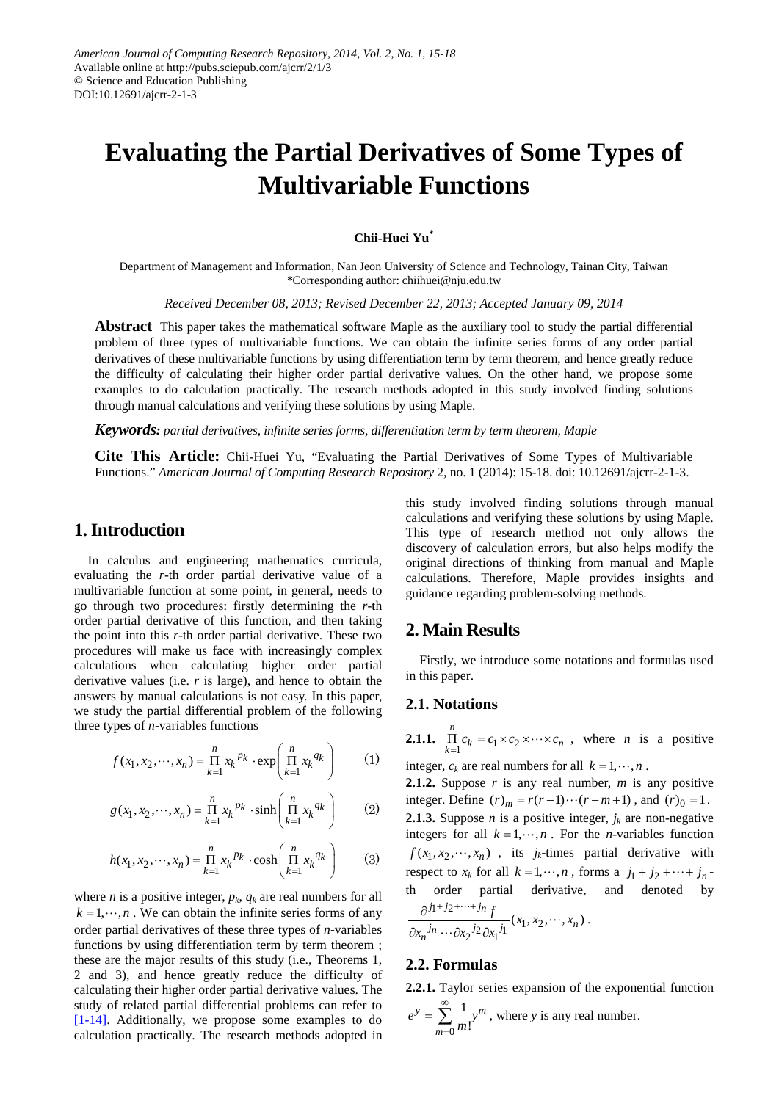# **Evaluating the Partial Derivatives of Some Types of Multivariable Functions**

## **Chii-Huei Yu\***

Department of Management and Information, Nan Jeon University of Science and Technology, Tainan City, Taiwan \*Corresponding author: chiihuei@nju.edu.tw

*Received December 08, 2013; Revised December 22, 2013; Accepted January 09, 2014*

**Abstract** This paper takes the mathematical software Maple as the auxiliary tool to study the partial differential problem of three types of multivariable functions. We can obtain the infinite series forms of any order partial derivatives of these multivariable functions by using differentiation term by term theorem, and hence greatly reduce the difficulty of calculating their higher order partial derivative values. On the other hand, we propose some examples to do calculation practically. The research methods adopted in this study involved finding solutions through manual calculations and verifying these solutions by using Maple.

*Keywords: partial derivatives, infinite series forms, differentiation term by term theorem, Maple*

**Cite This Article:** Chii-Huei Yu, "Evaluating the Partial Derivatives of Some Types of Multivariable Functions." *American Journal of Computing Research Repository* 2, no. 1 (2014): 15-18. doi: 10.12691/ajcrr-2-1-3.

# **1. Introduction**

In calculus and engineering mathematics curricula, evaluating the *r*-th order partial derivative value of a multivariable function at some point, in general, needs to go through two procedures: firstly determining the *r*-th order partial derivative of this function, and then taking the point into this *r*-th order partial derivative. These two procedures will make us face with increasingly complex calculations when calculating higher order partial derivative values (i.e. *r* is large), and hence to obtain the answers by manual calculations is not easy. In this paper, we study the partial differential problem of the following three types of *n*-variables functions

$$
f(x_1, x_2, \cdots, x_n) = \prod_{k=1}^{n} x_k^{p_k} \cdot \exp\left(\prod_{k=1}^{n} x_k^{q_k}\right)
$$
 (1)

$$
g(x_1, x_2, \cdots, x_n) = \prod_{k=1}^n x_k^{pk} \cdot \sinh\left(\prod_{k=1}^n x_k^{q_k}\right) \tag{2}
$$

$$
h(x_1, x_2, \cdots, x_n) = \prod_{k=1}^n x_k^{p_k} \cdot \cosh\left(\prod_{k=1}^n x_k^{q_k}\right) \tag{3}
$$

where *n* is a positive integer,  $p_k$ ,  $q_k$  are real numbers for all  $k = 1, \dots, n$ . We can obtain the infinite series forms of any order partial derivatives of these three types of *n*-variables functions by using differentiation term by term theorem ; these are the major results of this study (i.e., Theorems 1, 2 and 3), and hence greatly reduce the difficulty of calculating their higher order partial derivative values. The study of related partial differential problems can refer to [\[1-14\].](#page-3-0) Additionally, we propose some examples to do calculation practically. The research methods adopted in

this study involved finding solutions through manual calculations and verifying these solutions by using Maple. This type of research method not only allows the discovery of calculation errors, but also helps modify the original directions of thinking from manual and Maple calculations. Therefore, Maple provides insights and guidance regarding problem-solving methods.

# **2. Main Results**

Firstly, we introduce some notations and formulas used in this paper.

## **2.1. Notations**

**2.1.1.**  $\prod_{k=1}^{n} c_k = c_1 \times c_2$ *n*  $\prod_{k=1}^{n} c_k = c_1 \times c_2 \times \cdots \times c_n$ , where *n* is a positive

integer,  $c_k$  are real numbers for all  $k = 1, \dots, n$ .

**2.1.2.** Suppose  $r$  is any real number,  $m$  is any positive integer. Define  $(r)_{m} = r(r-1)\cdots(r-m+1)$ , and  $(r)_{0} = 1$ . **2.1.3.** Suppose *n* is a positive integer,  $j_k$  are non-negative integers for all  $k = 1, \dots, n$ . For the *n*-variables function  $f(x_1, x_2, \dots, x_n)$ , its *j<sub>k</sub>*-times partial derivative with respect to  $x_k$  for all  $k = 1, \dots, n$ , forms a  $j_1 + j_2 + \dots + j_n$ order partial derivative, and denoted by  $\partial^{j_1+j_2+\cdots+j_n}$  $\frac{f}{x} (x_1, x_2, \dots, x_n)$ 

$$
\frac{y}{\partial x_n^{j_n} \cdots \partial x_2^{j_2} \partial x_1^{j_1}}(x_1, x_2, \cdots, x_n).
$$

## **2.2. Formulas**

**2.2.1.** Taylor series expansion of the exponential function  $y = \sum_{m=1}^{\infty} 1_{m}^m$ 

$$
e^y = \sum_{m=0} \frac{1}{m!} y^m
$$
, where y is any real number.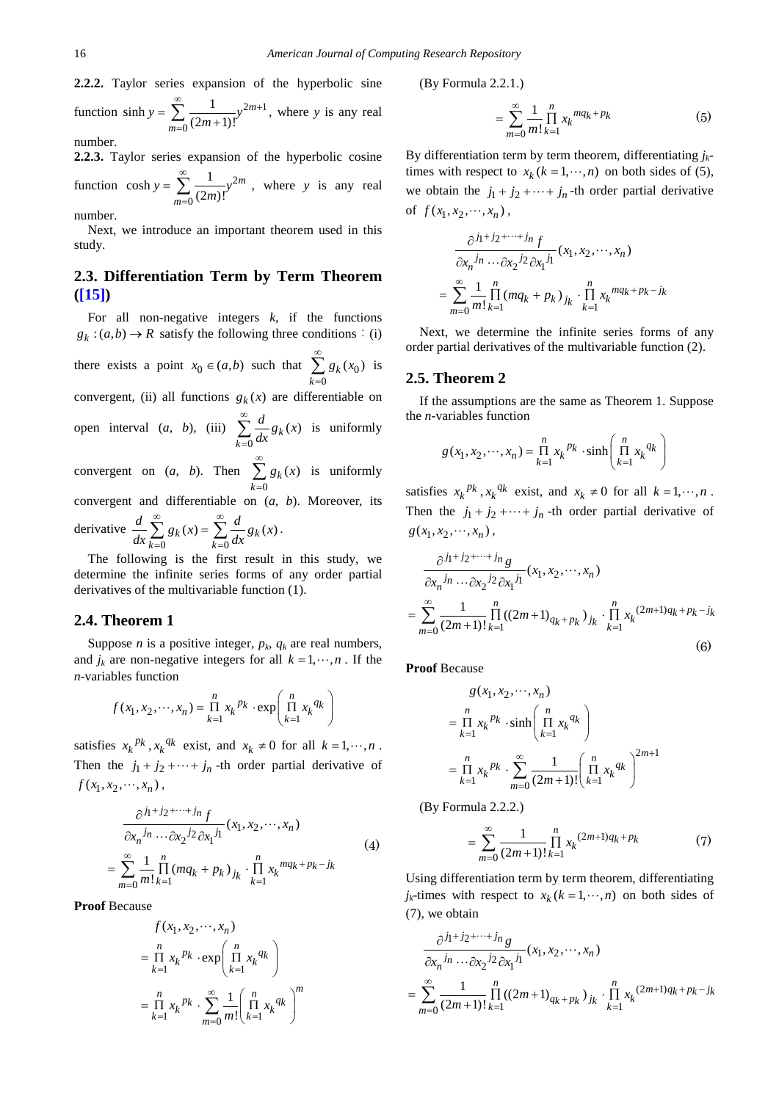**2.2.2.** Taylor series expansion of the hyperbolic sine function sinh  $y = \sum_{n=0}^{\infty} \frac{1}{(2n+1)^n} y^{2m+1}$  $\boldsymbol{0}$  $sinh y = \sum_{m=0}^{\infty} \frac{1}{(2m+1)!}$ *m*  $y = \sum_{m=0}^{1} \frac{1}{(2m+1)!}y^m$  $\sum_{m=1}^{\infty}$  1  $\sum_{m=1}^{\infty}$  $=\sum_{m=0}^{\infty} \frac{1}{(2m+1)!} y^{2m+1}$ , where *y* is any real

number.

**2.2.3.** Taylor series expansion of the hyperbolic cosine function  $\cosh y = \sum \frac{1}{(2-x)^2} y^2$  $\boldsymbol{0}$  $\cosh y = \sum_{m=0}^{\infty} \frac{1}{(2m)!}$ *m*  $y = \sum_{m=0}^{1} \frac{1}{(2m)!} y^m$ ∞ =  $=\sum \frac{1}{(2m)!} y^{2m}$ , where y is any real

number.

Next, we introduce an important theorem used in this study.

# **2.3. Differentiation Term by Term Theorem [\(\[15\]\)](#page-3-1)**

For all non-negative integers  $k$ , if the functions  $g_k$ : $(a,b) \rightarrow R$  satisfy the following three conditions: (i) there exists a point  $x_0 \in (a,b)$  such that  $\sum g_k(x_0)$  $\boldsymbol{0}$  $_{k}(x_{0})$ *k g x* ∞ =  $\sum g_k(x_0)$  is convergent, (ii) all functions  $g_k(x)$  are differentiable on open interval (*a*, *b*), (iii)  $\boldsymbol{0}$  $\kappa(x)$ *k*  $\frac{d}{dx} g_k(x)$ ∞ =  $\sum \frac{a}{dx} g_k(x)$  is uniformly convergent on (*a*, *b*). Then  $\kappa(x)$ *g x* ∞  $\sum g_k(x)$  is uniformly

 $\boldsymbol{0}$ *k* =

convergent and differentiable on (*a*, *b*). Moreover, its

derivative 
$$
\frac{d}{dx} \sum_{k=0}^{\infty} g_k(x) = \sum_{k=0}^{\infty} \frac{d}{dx} g_k(x)
$$
.

The following is the first result in this study, we determine the infinite series forms of any order partial derivatives of the multivariable function (1).

## **2.4. Theorem 1**

Suppose *n* is a positive integer,  $p_k$ ,  $q_k$  are real numbers, and  $j_k$  are non-negative integers for all  $k = 1, \dots, n$ . If the *n*-variables function

$$
f(x_1, x_2, \cdots, x_n) = \prod_{k=1}^n x_k^{p_k} \cdot \exp\left(\prod_{k=1}^n x_k^{q_k}\right)
$$

satisfies  $x_k^{p_k}$ ,  $x_k^{q_k}$  exist, and  $x_k \neq 0$  for all  $k = 1, \dots, n$ . Then the  $j_1 + j_2 + \cdots + j_n$  -th order partial derivative of  $f(x_1, x_2, \dots, x_n)$ ,

$$
\frac{\partial^{j_1+j_2+\cdots+j_n} f}{\partial x_n^{j_n} \cdots \partial x_2^{j_2} \partial x_1^{j_1}} (x_1, x_2, \cdots, x_n)
$$
\n
$$
= \sum_{m=0}^{\infty} \frac{1}{m!} \prod_{k=1}^n (mq_k + p_k)_{j_k} \cdot \prod_{k=1}^n x_k^{mq_k + p_k - j_k}
$$
\n(4)

**Proof** Because

$$
f(x_1, x_2, \cdots, x_n)
$$
  
=  $\prod_{k=1}^n x_k^{p_k} \cdot \exp\left(\prod_{k=1}^n x_k^{q_k}\right)$   
=  $\prod_{k=1}^n x_k^{p_k} \cdot \sum_{m=0}^\infty \frac{1}{m!} \left(\prod_{k=1}^n x_k^{q_k}\right)^m$ 

(By Formula 2.2.1.)

$$
= \sum_{m=0}^{\infty} \frac{1}{m!} \prod_{k=1}^{n} x_k^{mq_k + p_k}
$$
 (5)

By differentiation term by term theorem, differentiating *j<sub>k</sub>*times with respect to  $x_k$  ( $k = 1, \dots, n$ ) on both sides of (5), we obtain the  $j_1 + j_2 + \cdots + j_n$ -th order partial derivative of  $f(x_1, x_2, \dots, x_n)$ ,

$$
\frac{\partial^{j_1+j_2+\cdots+j_n} f}{\partial x_n^{j_n}\cdots \partial x_2^{j_2} \partial x_1^{j_1}}(x_1, x_2, \cdots, x_n)
$$

$$
= \sum_{m=0}^{\infty} \frac{1}{m!} \prod_{k=1}^n (mq_k + p_k)_{j_k} \cdot \prod_{k=1}^n x_k^{mq_k + p_k - j_k}
$$

Next, we determine the infinite series forms of any order partial derivatives of the multivariable function (2).

#### **2.5. Theorem 2**

If the assumptions are the same as Theorem 1. Suppose the *n*-variables function

$$
g(x_1, x_2, \cdots, x_n) = \prod_{k=1}^n x_k^{p_k} \cdot \sinh\left(\prod_{k=1}^n x_k^{q_k}\right)
$$

satisfies  $x_k^{pk}$ ,  $x_k^{q_k}$  exist, and  $x_k \neq 0$  for all  $k = 1, \dots, n$ . Then the  $j_1 + j_2 + \cdots + j_n$  -th order partial derivative of  $g(x_1, x_2, \dots, x_n)$ ,

$$
\frac{\partial^{j_1+j_2+\cdots+j_n} g}{\partial x_n^{j_n} \cdots \partial x_2^{j_2} \partial x_1^{j_1}} (x_1, x_2, \cdots, x_n)
$$
\n
$$
= \sum_{m=0}^{\infty} \frac{1}{(2m+1)!} \prod_{k=1}^n ((2m+1)_{q_k + p_k})_{j_k} \cdot \prod_{k=1}^n x_k^{(2m+1)q_k + p_k - j_k}
$$
\n(6)

**Proof** Because

$$
g(x_1, x_2, \cdots, x_n)
$$
  
=  $\prod_{k=1}^n x_k^{pk} \cdot \sinh\left(\prod_{k=1}^n x_k^{q_k}\right)$   
=  $\prod_{k=1}^n x_k^{pk} \cdot \sum_{m=0}^\infty \frac{1}{(2m+1)!} \left(\prod_{k=1}^n x_k^{q_k}\right)^{2m+1}$ 

(By Formula 2.2.2.)

$$
= \sum_{m=0}^{\infty} \frac{1}{(2m+1)!} \prod_{k=1}^{n} x_k^{(2m+1)q_k + p_k}
$$
 (7)

Using differentiation term by term theorem, differentiating  $j_k$ -times with respect to  $x_k$  ( $k = 1, \dots, n$ ) on both sides of (7), we obtain

$$
\frac{\partial^{j_1+j_2+\cdots+j_n} g}{\partial x_n^{j_n} \cdots \partial x_2^{j_2} \partial x_1^{j_1}} (x_1, x_2, \cdots, x_n)
$$
\n
$$
= \sum_{m=0}^{\infty} \frac{1}{(2m+1)!} \prod_{k=1}^n ((2m+1)_{q_k + p_k})_{j_k} \cdot \prod_{k=1}^n x_k^{(2m+1)q_k + p_k - j_k}
$$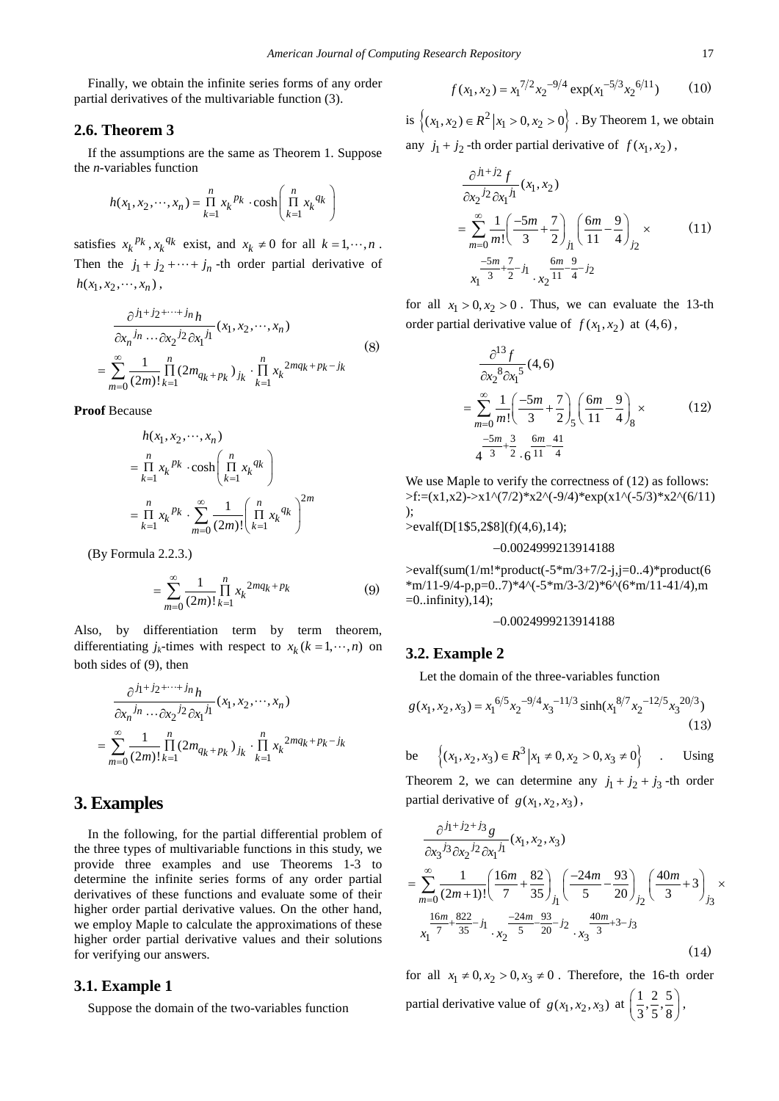Finally, we obtain the infinite series forms of any order partial derivatives of the multivariable function (3).

## **2.6. Theorem 3**

If the assumptions are the same as Theorem 1. Suppose the *n*-variables function

$$
h(x_1, x_2, \cdots, x_n) = \prod_{k=1}^n x_k^{p_k} \cdot \cosh\left(\prod_{k=1}^n x_k^{q_k}\right)
$$

satisfies  $x_k^{pk}$ ,  $x_k^{qk}$  exist, and  $x_k \neq 0$  for all  $k = 1, \dots, n$ . Then the  $j_1 + j_2 + \cdots + j_n$  -th order partial derivative of  $h(x_1, x_2, \dots, x_n)$ ,

$$
\frac{\partial^{j_1+j_2+\cdots+j_n} h}{\partial x_n^{j_n}\cdots \partial x_2^{j_2} \partial x_1^{j_1}}(x_1, x_2, \cdots, x_n)
$$
\n
$$
= \sum_{m=0}^{\infty} \frac{1}{(2m)!} \prod_{k=1}^n (2m_{q_k+p_k})_{j_k} \cdot \prod_{k=1}^n x_k^{2mq_k+p_k-j_k}
$$
\n(8)

**Proof** Because

$$
h(x_1, x_2, \cdots, x_n)
$$
  
=  $\prod_{k=1}^n x_k^{p_k} \cdot \cosh\left(\prod_{k=1}^n x_k^{q_k}\right)$   
=  $\prod_{k=1}^n x_k^{p_k} \cdot \sum_{m=0}^\infty \frac{1}{(2m)!} \left(\prod_{k=1}^n x_k^{q_k}\right)^{2m}$ 

(By Formula 2.2.3.)

$$
= \sum_{m=0}^{\infty} \frac{1}{(2m)!} \prod_{k=1}^{n} x_k^{2mq_k + p_k}
$$
 (9)

Also, by differentiation term by term theorem, differentiating  $j_k$ -times with respect to  $x_k$  ( $k = 1, \dots, n$ ) on both sides of (9), then

$$
\frac{\partial^{j_1+j_2+\cdots+j_n} h}{\partial x_n^{j_n}\cdots \partial x_2^{j_2} \partial x_1^{j_1}}(x_1, x_2, \cdots, x_n)
$$
  
= 
$$
\sum_{m=0}^{\infty} \frac{1}{(2m)!} \prod_{k=1}^n (2m_{q_k+p_k})_{j_k} \cdot \prod_{k=1}^n x_k^{2mq_k+p_k-j_k}
$$

# **3. Examples**

In the following, for the partial differential problem of the three types of multivariable functions in this study, we provide three examples and use Theorems 1-3 to determine the infinite series forms of any order partial derivatives of these functions and evaluate some of their higher order partial derivative values. On the other hand, we employ Maple to calculate the approximations of these higher order partial derivative values and their solutions for verifying our answers.

## **3.1. Example 1**

Suppose the domain of the two-variables function

$$
f(x_1, x_2) = x_1^{7/2} x_2^{-9/4} \exp(x_1^{-5/3} x_2^{-6/11})
$$
 (10)

is  $\{(x_1, x_2) \in R^2 | x_1 > 0, x_2 > 0\}$ . By Theorem 1, we obtain any  $j_1 + j_2$ -th order partial derivative of  $f(x_1, x_2)$ ,

$$
\frac{\partial^{j_1+j_2} f}{\partial x_2^{j_2} \partial x_1^{j_1}}(x_1, x_2)
$$
\n
$$
= \sum_{m=0}^{\infty} \frac{1}{m!} \left( \frac{-5m}{3} + \frac{7}{2} \right)_{j_1} \left( \frac{6m}{11} - \frac{9}{4} \right)_{j_2} \times \qquad (11)
$$
\n
$$
\frac{-5m}{x_1} + \frac{7}{2} - j_1 \frac{6m}{x_2} + j_2
$$

for all  $x_1 > 0, x_2 > 0$ . Thus, we can evaluate the 13-th order partial derivative value of  $f(x_1, x_2)$  at  $(4, 6)$ ,

$$
\frac{\partial^{13} f}{\partial x_2^8 \partial x_1^5} (4,6)
$$
\n
$$
= \sum_{m=0}^{\infty} \frac{1}{m!} \left( \frac{-5m}{3} + \frac{7}{2} \right)_{5} \left( \frac{6m}{11} - \frac{9}{4} \right)_{8} \times
$$
\n
$$
= \frac{-5m}{4} \frac{3}{3} \cdot \frac{6m}{2} \cdot \frac{41}{6} \cdot \frac{11}{4}
$$
\n(12)

We use Maple to verify the correctness of  $(12)$  as follows:  $>\f:=(x1,x2)\rightarrow x1^{\wedge}(7/2)*x2^{\wedge}(-9/4)*exp(x1^{\wedge}(-5/3)*x2^{\wedge}(6/11))$ );

>evalf(D[1\$5,2\$8](f)(4,6),14);

## −0.0024999213914188

 $>$ evalf(sum(1/m!\*product(-5\*m/3+7/2-j,j=0..4)\*product(6  $*m/11-9/4-p,p=0..7)*4^(-5*m/3-3/2)*6^(6*m/11-41/4),m$  $=0$ ..infinity), 14);

#### −0.0024999213914188

## **3.2. Example 2**

Let the domain of the three-variables function

$$
g(x_1, x_2, x_3) = x_1^{6/5} x_2^{-9/4} x_3^{-11/3} \sinh(x_1^{8/7} x_2^{-12/5} x_3^{20/3})
$$
\n(13)

be 
$$
\{(x_1, x_2, x_3) \in R^3 | x_1 \neq 0, x_2 > 0, x_3 \neq 0\}
$$
. Using

Theorem 2, we can determine any  $j_1 + j_2 + j_3$ -th order partial derivative of  $g(x_1, x_2, x_3)$ ,

$$
\frac{\partial^{j_1+j_2+j_3} g}{\partial x_3^{j_3} \partial x_2^{j_2} \partial x_1^{j_1}} (x_1, x_2, x_3)
$$
\n
$$
= \sum_{m=0}^{\infty} \frac{1}{(2m+1)!} \left( \frac{16m}{7} + \frac{82}{35} \right)_{j_1} \left( \frac{-24m}{5} - \frac{93}{20} \right)_{j_2} \left( \frac{40m}{3} + 3 \right)_{j_3} \times \frac{16m}{x_1^{5} \cdot 7} + \frac{822}{35} - j_1 \sum_{x_2} \frac{-24m}{5} - \frac{93}{20} - j_2 \sum_{x_3} \frac{40m}{3} + 3 - j_3 \tag{14}
$$

for all  $x_1 \neq 0, x_2 > 0, x_3 \neq 0$ . Therefore, the 16-th order partial derivative value of  $g(x_1, x_2, x_3)$  at  $\left(\frac{1}{3}, \frac{2}{5}, \frac{5}{8}\right)$ ,